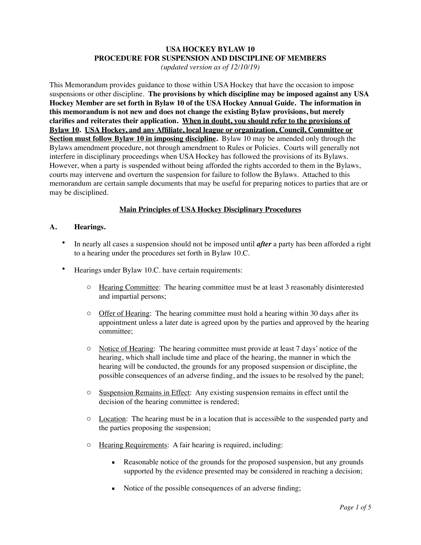# **USA HOCKEY BYLAW 10 PROCEDURE FOR SUSPENSION AND DISCIPLINE OF MEMBERS**

*(updated version as of 12/10/19)*

This Memorandum provides guidance to those within USA Hockey that have the occasion to impose suspensions or other discipline. **The provisions by which discipline may be imposed against any USA Hockey Member are set forth in Bylaw 10 of the USA Hockey Annual Guide. The information in this memorandum is not new and does not change the existing Bylaw provisions, but merely clarifies and reiterates their application. When in doubt, you should refer to the provisions of Bylaw 10. USA Hockey, and any Affiliate, local league or organization, Council, Committee or Section must follow Bylaw 10 in imposing discipline.** Bylaw 10 may be amended only through the Bylaws amendment procedure, not through amendment to Rules or Policies. Courts will generally not interfere in disciplinary proceedings when USA Hockey has followed the provisions of its Bylaws. However, when a party is suspended without being afforded the rights accorded to them in the Bylaws, courts may intervene and overturn the suspension for failure to follow the Bylaws. Attached to this memorandum are certain sample documents that may be useful for preparing notices to parties that are or may be disciplined.

# **Main Principles of USA Hockey Disciplinary Procedures**

### **A. Hearings.**

- In nearly all cases a suspension should not be imposed until *after* a party has been afforded a right to a hearing under the procedures set forth in Bylaw 10.C.
- Hearings under Bylaw 10.C. have certain requirements:
	- o Hearing Committee: The hearing committee must be at least 3 reasonably disinterested and impartial persons;
	- $\circ$  Offer of Hearing: The hearing committee must hold a hearing within 30 days after its appointment unless a later date is agreed upon by the parties and approved by the hearing committee;
	- o Notice of Hearing: The hearing committee must provide at least 7 days' notice of the hearing, which shall include time and place of the hearing, the manner in which the hearing will be conducted, the grounds for any proposed suspension or discipline, the possible consequences of an adverse finding, and the issues to be resolved by the panel;
	- o Suspension Remains in Effect: Any existing suspension remains in effect until the decision of the hearing committee is rendered;
	- o Location: The hearing must be in a location that is accessible to the suspended party and the parties proposing the suspension;
	- o Hearing Requirements: A fair hearing is required, including:
		- Reasonable notice of the grounds for the proposed suspension, but any grounds supported by the evidence presented may be considered in reaching a decision;
		- Notice of the possible consequences of an adverse finding;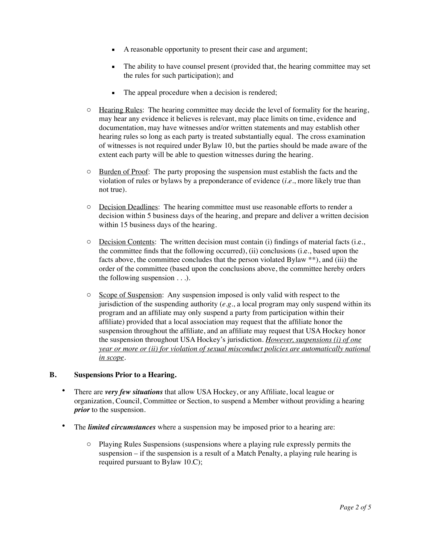- A reasonable opportunity to present their case and argument;
- The ability to have counsel present (provided that, the hearing committee may set the rules for such participation); and
- The appeal procedure when a decision is rendered;
- o Hearing Rules: The hearing committee may decide the level of formality for the hearing, may hear any evidence it believes is relevant, may place limits on time, evidence and documentation, may have witnesses and/or written statements and may establish other hearing rules so long as each party is treated substantially equal. The cross examination of witnesses is not required under Bylaw 10, but the parties should be made aware of the extent each party will be able to question witnesses during the hearing.
- o Burden of Proof: The party proposing the suspension must establish the facts and the violation of rules or bylaws by a preponderance of evidence (*i.e.*, more likely true than not true).
- o Decision Deadlines: The hearing committee must use reasonable efforts to render a decision within 5 business days of the hearing, and prepare and deliver a written decision within 15 business days of the hearing.
- o Decision Contents: The written decision must contain (i) findings of material facts (i.e., the committee finds that the following occurred), (ii) conclusions (i.e., based upon the facts above, the committee concludes that the person violated Bylaw \*\*), and (iii) the order of the committee (based upon the conclusions above, the committee hereby orders the following suspension . . .).
- o Scope of Suspension: Any suspension imposed is only valid with respect to the jurisdiction of the suspending authority (*e.g.*, a local program may only suspend within its program and an affiliate may only suspend a party from participation within their affiliate) provided that a local association may request that the affiliate honor the suspension throughout the affiliate, and an affiliate may request that USA Hockey honor the suspension throughout USA Hockey's jurisdiction. *However, suspensions (i) of one year or more or (ii) for violation of sexual misconduct policies are automatically national in scope*.

### **B. Suspensions Prior to a Hearing.**

- There are *very few situations* that allow USA Hockey, or any Affiliate, local league or organization, Council, Committee or Section, to suspend a Member without providing a hearing *prior* to the suspension.
- The *limited circumstances* where a suspension may be imposed prior to a hearing are:
	- o Playing Rules Suspensions (suspensions where a playing rule expressly permits the suspension – if the suspension is a result of a Match Penalty, a playing rule hearing is required pursuant to Bylaw 10.C);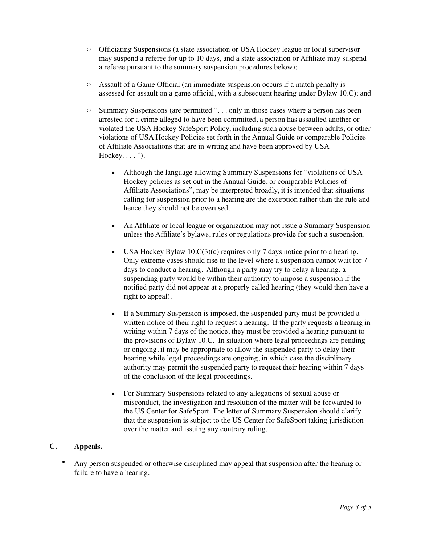- o Officiating Suspensions (a state association or USA Hockey league or local supervisor may suspend a referee for up to 10 days, and a state association or Affiliate may suspend a referee pursuant to the summary suspension procedures below);
- o Assault of a Game Official (an immediate suspension occurs if a match penalty is assessed for assault on a game official, with a subsequent hearing under Bylaw 10.C); and
- o Summary Suspensions (are permitted ". . . only in those cases where a person has been arrested for a crime alleged to have been committed, a person has assaulted another or violated the USA Hockey SafeSport Policy, including such abuse between adults, or other violations of USA Hockey Policies set forth in the Annual Guide or comparable Policies of Affiliate Associations that are in writing and have been approved by USA Hockey.  $\dots$ ").
	- **•** Although the language allowing Summary Suspensions for "violations of USA Hockey policies as set out in the Annual Guide, or comparable Policies of Affiliate Associations", may be interpreted broadly, it is intended that situations calling for suspension prior to a hearing are the exception rather than the rule and hence they should not be overused.
	- An Affiliate or local league or organization may not issue a Summary Suspension unless the Affiliate's bylaws, rules or regulations provide for such a suspension.
	- **•** USA Hockey Bylaw  $10.C(3)(c)$  requires only 7 days notice prior to a hearing. Only extreme cases should rise to the level where a suspension cannot wait for 7 days to conduct a hearing. Although a party may try to delay a hearing, a suspending party would be within their authority to impose a suspension if the notified party did not appear at a properly called hearing (they would then have a right to appeal).
	- If a Summary Suspension is imposed, the suspended party must be provided a written notice of their right to request a hearing. If the party requests a hearing in writing within 7 days of the notice, they must be provided a hearing pursuant to the provisions of Bylaw 10.C. In situation where legal proceedings are pending or ongoing, it may be appropriate to allow the suspended party to delay their hearing while legal proceedings are ongoing, in which case the disciplinary authority may permit the suspended party to request their hearing within 7 days of the conclusion of the legal proceedings.
	- For Summary Suspensions related to any allegations of sexual abuse or misconduct, the investigation and resolution of the matter will be forwarded to the US Center for SafeSport. The letter of Summary Suspension should clarify that the suspension is subject to the US Center for SafeSport taking jurisdiction over the matter and issuing any contrary ruling.

# **C. Appeals.**

• Any person suspended or otherwise disciplined may appeal that suspension after the hearing or failure to have a hearing.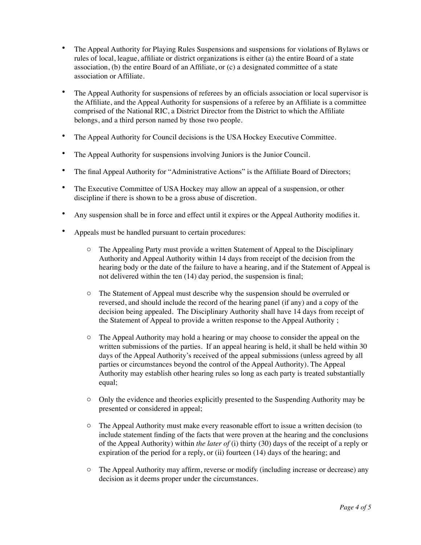- The Appeal Authority for Playing Rules Suspensions and suspensions for violations of Bylaws or rules of local, league, affiliate or district organizations is either (a) the entire Board of a state association, (b) the entire Board of an Affiliate, or (c) a designated committee of a state association or Affiliate.
- The Appeal Authority for suspensions of referees by an officials association or local supervisor is the Affiliate, and the Appeal Authority for suspensions of a referee by an Affiliate is a committee comprised of the National RIC, a District Director from the District to which the Affiliate belongs, and a third person named by those two people.
- The Appeal Authority for Council decisions is the USA Hockey Executive Committee.
- The Appeal Authority for suspensions involving Juniors is the Junior Council.
- The final Appeal Authority for "Administrative Actions" is the Affiliate Board of Directors;
- The Executive Committee of USA Hockey may allow an appeal of a suspension, or other discipline if there is shown to be a gross abuse of discretion.
- Any suspension shall be in force and effect until it expires or the Appeal Authority modifies it.
- Appeals must be handled pursuant to certain procedures:
	- o The Appealing Party must provide a written Statement of Appeal to the Disciplinary Authority and Appeal Authority within 14 days from receipt of the decision from the hearing body or the date of the failure to have a hearing, and if the Statement of Appeal is not delivered within the ten (14) day period, the suspension is final;
	- o The Statement of Appeal must describe why the suspension should be overruled or reversed, and should include the record of the hearing panel (if any) and a copy of the decision being appealed. The Disciplinary Authority shall have 14 days from receipt of the Statement of Appeal to provide a written response to the Appeal Authority ;
	- o The Appeal Authority may hold a hearing or may choose to consider the appeal on the written submissions of the parties. If an appeal hearing is held, it shall be held within 30 days of the Appeal Authority's received of the appeal submissions (unless agreed by all parties or circumstances beyond the control of the Appeal Authority). The Appeal Authority may establish other hearing rules so long as each party is treated substantially equal;
	- o Only the evidence and theories explicitly presented to the Suspending Authority may be presented or considered in appeal;
	- o The Appeal Authority must make every reasonable effort to issue a written decision (to include statement finding of the facts that were proven at the hearing and the conclusions of the Appeal Authority) within *the later of* (i) thirty (30) days of the receipt of a reply or expiration of the period for a reply, or (ii) fourteen (14) days of the hearing; and
	- o The Appeal Authority may affirm, reverse or modify (including increase or decrease) any decision as it deems proper under the circumstances.